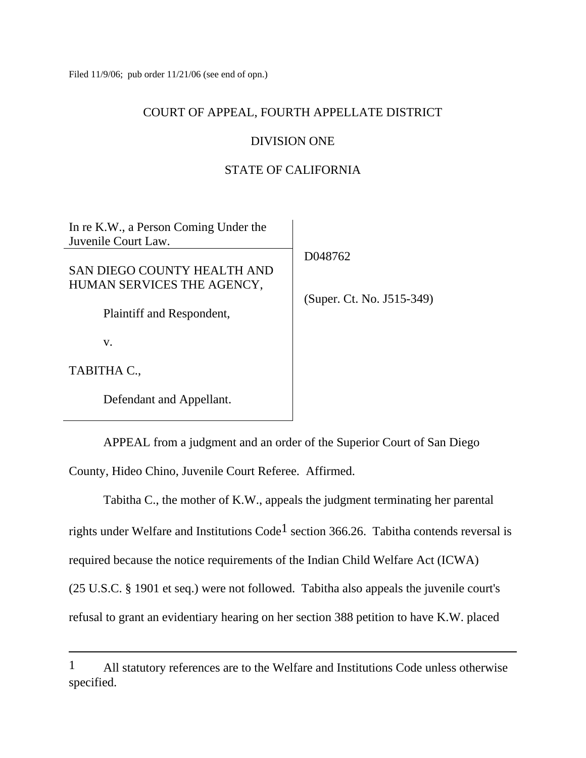Filed 11/9/06; pub order 11/21/06 (see end of opn.)

## COURT OF APPEAL, FOURTH APPELLATE DISTRICT

# DIVISION ONE

# STATE OF CALIFORNIA

| In re K.W., a Person Coming Under the<br>Juvenile Court Law. |                           |
|--------------------------------------------------------------|---------------------------|
|                                                              | D048762                   |
| SAN DIEGO COUNTY HEALTH AND                                  |                           |
| HUMAN SERVICES THE AGENCY,                                   |                           |
| Plaintiff and Respondent,                                    | (Super. Ct. No. J515-349) |
| V.                                                           |                           |
| TABITHA C.,                                                  |                           |

Defendant and Appellant.

APPEAL from a judgment and an order of the Superior Court of San Diego

County, Hideo Chino, Juvenile Court Referee. Affirmed.

 Tabitha C., the mother of K.W., appeals the judgment terminating her parental rights under Welfare and Institutions Code<sup>1</sup> section 366.26. Tabitha contends reversal is required because the notice requirements of the Indian Child Welfare Act (ICWA) (25 U.S.C. § 1901 et seq.) were not followed. Tabitha also appeals the juvenile court's refusal to grant an evidentiary hearing on her section 388 petition to have K.W. placed

<sup>&</sup>lt;sup>1</sup> All statutory references are to the Welfare and Institutions Code unless otherwise specified.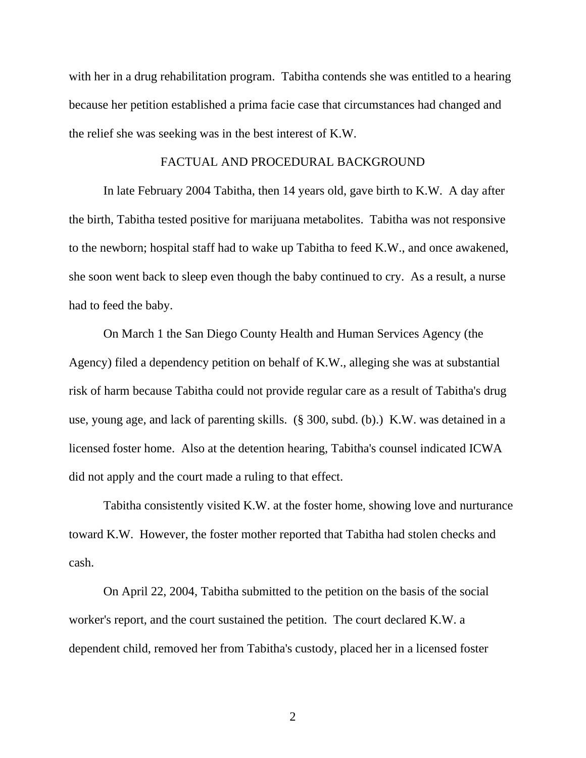with her in a drug rehabilitation program. Tabitha contends she was entitled to a hearing because her petition established a prima facie case that circumstances had changed and the relief she was seeking was in the best interest of K.W.

#### FACTUAL AND PROCEDURAL BACKGROUND

 In late February 2004 Tabitha, then 14 years old, gave birth to K.W. A day after the birth, Tabitha tested positive for marijuana metabolites. Tabitha was not responsive to the newborn; hospital staff had to wake up Tabitha to feed K.W., and once awakened, she soon went back to sleep even though the baby continued to cry. As a result, a nurse had to feed the baby.

 On March 1 the San Diego County Health and Human Services Agency (the Agency) filed a dependency petition on behalf of K.W., alleging she was at substantial risk of harm because Tabitha could not provide regular care as a result of Tabitha's drug use, young age, and lack of parenting skills. (§ 300, subd. (b).) K.W. was detained in a licensed foster home. Also at the detention hearing, Tabitha's counsel indicated ICWA did not apply and the court made a ruling to that effect.

 Tabitha consistently visited K.W. at the foster home, showing love and nurturance toward K.W. However, the foster mother reported that Tabitha had stolen checks and cash.

 On April 22, 2004, Tabitha submitted to the petition on the basis of the social worker's report, and the court sustained the petition. The court declared K.W. a dependent child, removed her from Tabitha's custody, placed her in a licensed foster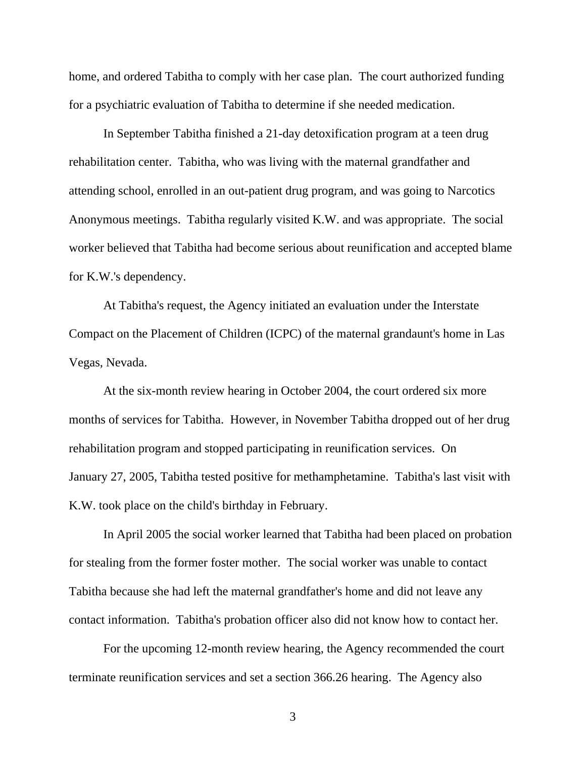home, and ordered Tabitha to comply with her case plan. The court authorized funding for a psychiatric evaluation of Tabitha to determine if she needed medication.

 In September Tabitha finished a 21-day detoxification program at a teen drug rehabilitation center. Tabitha, who was living with the maternal grandfather and attending school, enrolled in an out-patient drug program, and was going to Narcotics Anonymous meetings. Tabitha regularly visited K.W. and was appropriate. The social worker believed that Tabitha had become serious about reunification and accepted blame for K.W.'s dependency.

 At Tabitha's request, the Agency initiated an evaluation under the Interstate Compact on the Placement of Children (ICPC) of the maternal grandaunt's home in Las Vegas, Nevada.

 At the six-month review hearing in October 2004, the court ordered six more months of services for Tabitha. However, in November Tabitha dropped out of her drug rehabilitation program and stopped participating in reunification services. On January 27, 2005, Tabitha tested positive for methamphetamine. Tabitha's last visit with K.W. took place on the child's birthday in February.

 In April 2005 the social worker learned that Tabitha had been placed on probation for stealing from the former foster mother. The social worker was unable to contact Tabitha because she had left the maternal grandfather's home and did not leave any contact information. Tabitha's probation officer also did not know how to contact her.

 For the upcoming 12-month review hearing, the Agency recommended the court terminate reunification services and set a section 366.26 hearing. The Agency also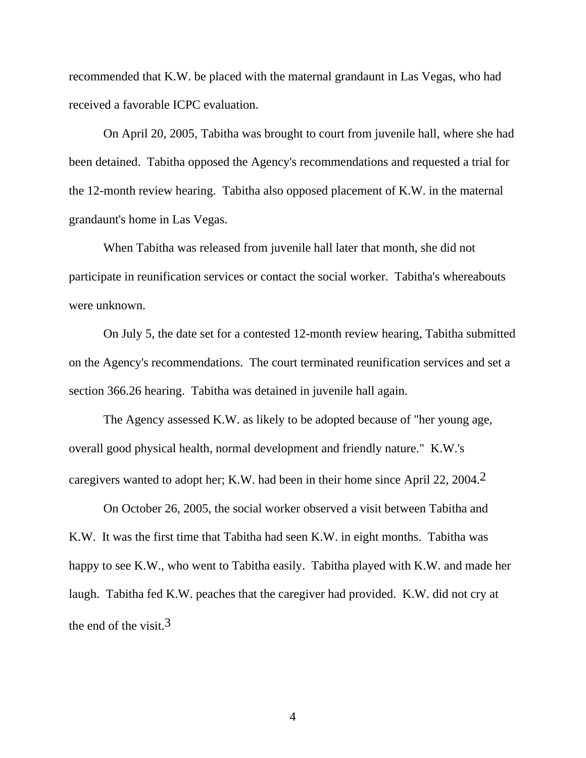recommended that K.W. be placed with the maternal grandaunt in Las Vegas, who had received a favorable ICPC evaluation.

 On April 20, 2005, Tabitha was brought to court from juvenile hall, where she had been detained. Tabitha opposed the Agency's recommendations and requested a trial for the 12-month review hearing. Tabitha also opposed placement of K.W. in the maternal grandaunt's home in Las Vegas.

 When Tabitha was released from juvenile hall later that month, she did not participate in reunification services or contact the social worker. Tabitha's whereabouts were unknown.

 On July 5, the date set for a contested 12-month review hearing, Tabitha submitted on the Agency's recommendations. The court terminated reunification services and set a section 366.26 hearing. Tabitha was detained in juvenile hall again.

 The Agency assessed K.W. as likely to be adopted because of "her young age, overall good physical health, normal development and friendly nature." K.W.'s caregivers wanted to adopt her; K.W. had been in their home since April 22, 2004.2

 On October 26, 2005, the social worker observed a visit between Tabitha and K.W. It was the first time that Tabitha had seen K.W. in eight months. Tabitha was happy to see K.W., who went to Tabitha easily. Tabitha played with K.W. and made her laugh. Tabitha fed K.W. peaches that the caregiver had provided. K.W. did not cry at the end of the visit.  $3$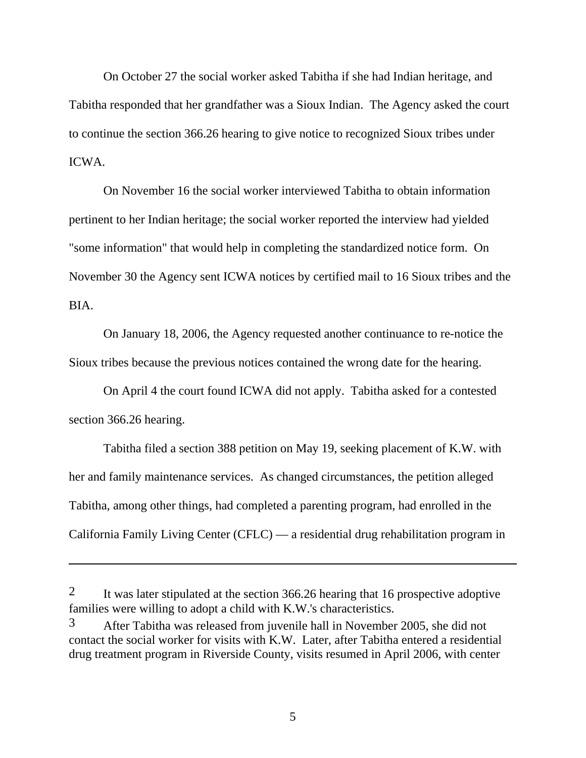On October 27 the social worker asked Tabitha if she had Indian heritage, and Tabitha responded that her grandfather was a Sioux Indian. The Agency asked the court to continue the section 366.26 hearing to give notice to recognized Sioux tribes under ICWA.

 On November 16 the social worker interviewed Tabitha to obtain information pertinent to her Indian heritage; the social worker reported the interview had yielded "some information" that would help in completing the standardized notice form. On November 30 the Agency sent ICWA notices by certified mail to 16 Sioux tribes and the BIA.

 On January 18, 2006, the Agency requested another continuance to re-notice the Sioux tribes because the previous notices contained the wrong date for the hearing.

 On April 4 the court found ICWA did not apply. Tabitha asked for a contested section 366.26 hearing.

 Tabitha filed a section 388 petition on May 19, seeking placement of K.W. with her and family maintenance services. As changed circumstances, the petition alleged Tabitha, among other things, had completed a parenting program, had enrolled in the California Family Living Center (CFLC) — a residential drug rehabilitation program in

 $\overline{a}$ 

<sup>&</sup>lt;sup>2</sup> It was later stipulated at the section 366.26 hearing that 16 prospective adoptive families were willing to adopt a child with K.W.'s characteristics.

<sup>3</sup> After Tabitha was released from juvenile hall in November 2005, she did not contact the social worker for visits with K.W. Later, after Tabitha entered a residential drug treatment program in Riverside County, visits resumed in April 2006, with center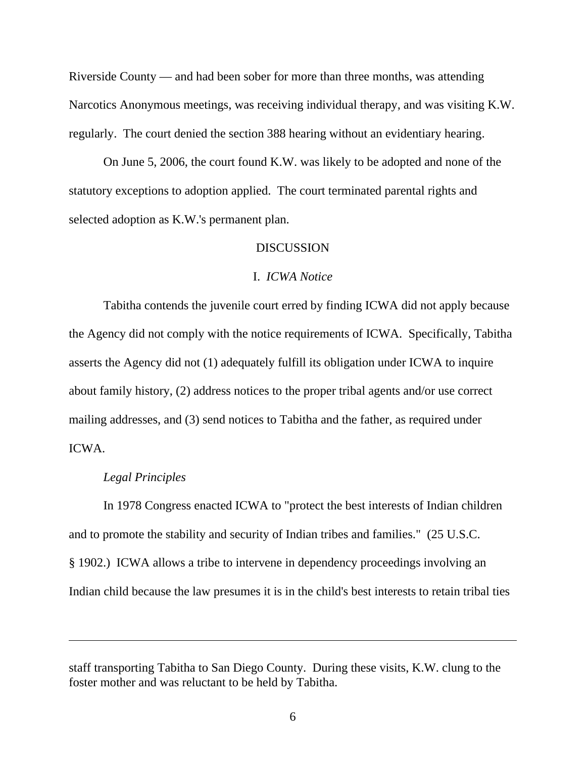Riverside County — and had been sober for more than three months, was attending Narcotics Anonymous meetings, was receiving individual therapy, and was visiting K.W. regularly. The court denied the section 388 hearing without an evidentiary hearing.

 On June 5, 2006, the court found K.W. was likely to be adopted and none of the statutory exceptions to adoption applied. The court terminated parental rights and selected adoption as K.W.'s permanent plan.

#### DISCUSSION

#### I. *ICWA Notice*

 Tabitha contends the juvenile court erred by finding ICWA did not apply because the Agency did not comply with the notice requirements of ICWA. Specifically, Tabitha asserts the Agency did not (1) adequately fulfill its obligation under ICWA to inquire about family history, (2) address notices to the proper tribal agents and/or use correct mailing addresses, and (3) send notices to Tabitha and the father, as required under ICWA.

#### *Legal Principles*

 In 1978 Congress enacted ICWA to "protect the best interests of Indian children and to promote the stability and security of Indian tribes and families." (25 U.S.C. § 1902.) ICWA allows a tribe to intervene in dependency proceedings involving an Indian child because the law presumes it is in the child's best interests to retain tribal ties

staff transporting Tabitha to San Diego County. During these visits, K.W. clung to the foster mother and was reluctant to be held by Tabitha.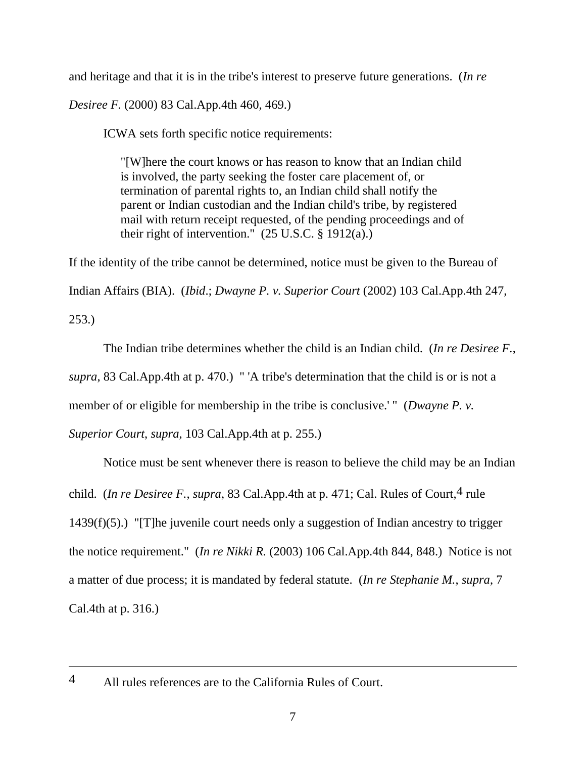and heritage and that it is in the tribe's interest to preserve future generations. (*In re* 

*Desiree F.* (2000) 83 Cal.App.4th 460, 469.)

ICWA sets forth specific notice requirements:

"[W]here the court knows or has reason to know that an Indian child is involved, the party seeking the foster care placement of, or termination of parental rights to, an Indian child shall notify the parent or Indian custodian and the Indian child's tribe, by registered mail with return receipt requested, of the pending proceedings and of their right of intervention."  $(25 \text{ U.S.C.} \hat{\S} 1912(a))$ 

If the identity of the tribe cannot be determined, notice must be given to the Bureau of Indian Affairs (BIA). (*Ibid*.; *Dwayne P. v. Superior Court* (2002) 103 Cal.App.4th 247, 253.)

 The Indian tribe determines whether the child is an Indian child. (*In re Desiree F.*, *supra*, 83 Cal.App.4th at p. 470.) " 'A tribe's determination that the child is or is not a member of or eligible for membership in the tribe is conclusive.' " (*Dwayne P. v.* 

*Superior Court*, *supra*, 103 Cal.App.4th at p. 255.)

 Notice must be sent whenever there is reason to believe the child may be an Indian child. (*In re Desiree F., supra, 83 Cal.App.4th at p. 471; Cal. Rules of Court,<sup>4</sup> rule*  $1439(f)(5)$ .) "[T]he juvenile court needs only a suggestion of Indian ancestry to trigger the notice requirement." (*In re Nikki R.* (2003) 106 Cal.App.4th 844, 848.) Notice is not a matter of due process; it is mandated by federal statute. (*In re Stephanie M.*, *supra*, 7 Cal.4th at p. 316.)

<sup>4</sup> All rules references are to the California Rules of Court.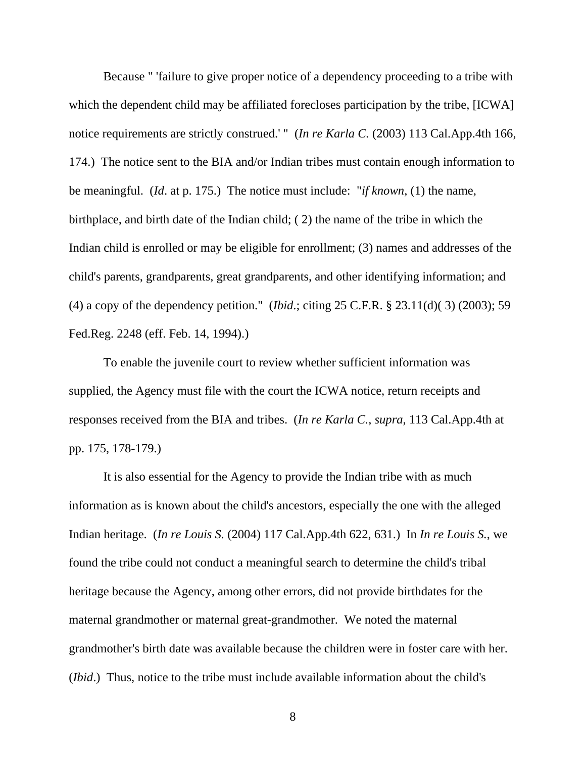Because " 'failure to give proper notice of a dependency proceeding to a tribe with which the dependent child may be affiliated forecloses participation by the tribe, [ICWA] notice requirements are strictly construed.' " (*In re Karla C.* (2003) 113 Cal.App.4th 166, 174.) The notice sent to the BIA and/or Indian tribes must contain enough information to be meaningful. (*Id*. at p. 175.) The notice must include: "*if known*, (1) the name, birthplace, and birth date of the Indian child; ( 2) the name of the tribe in which the Indian child is enrolled or may be eligible for enrollment; (3) names and addresses of the child's parents, grandparents, great grandparents, and other identifying information; and (4) a copy of the dependency petition." (*Ibid*.; citing 25 C.F.R. § 23.11(d)( 3) (2003); 59 Fed.Reg. 2248 (eff. Feb. 14, 1994).)

 To enable the juvenile court to review whether sufficient information was supplied, the Agency must file with the court the ICWA notice, return receipts and responses received from the BIA and tribes. (*In re Karla C.*, *supra*, 113 Cal.App.4th at pp. 175, 178-179.)

 It is also essential for the Agency to provide the Indian tribe with as much information as is known about the child's ancestors, especially the one with the alleged Indian heritage. (*In re Louis S.* (2004) 117 Cal.App.4th 622, 631.) In *In re Louis S.*, we found the tribe could not conduct a meaningful search to determine the child's tribal heritage because the Agency, among other errors, did not provide birthdates for the maternal grandmother or maternal great-grandmother. We noted the maternal grandmother's birth date was available because the children were in foster care with her. (*Ibid*.) Thus, notice to the tribe must include available information about the child's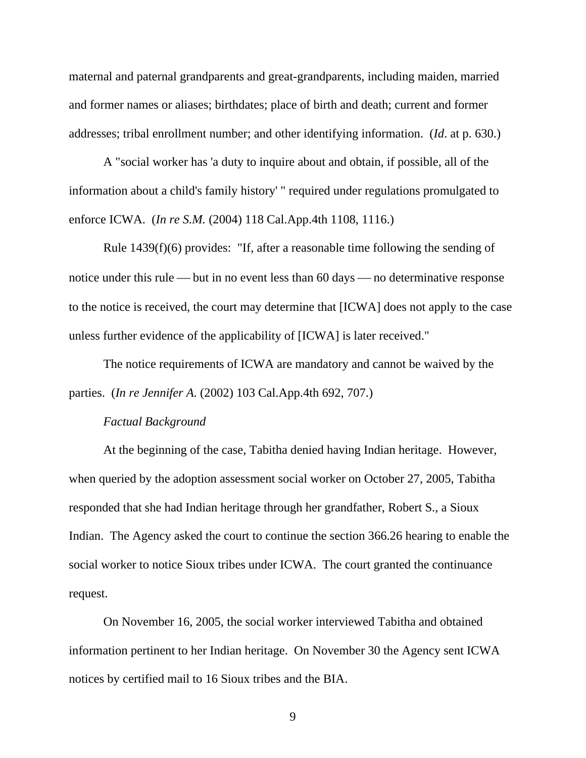maternal and paternal grandparents and great-grandparents, including maiden, married and former names or aliases; birthdates; place of birth and death; current and former addresses; tribal enrollment number; and other identifying information. (*Id*. at p. 630.)

 A "social worker has 'a duty to inquire about and obtain, if possible, all of the information about a child's family history' " required under regulations promulgated to enforce ICWA. (*In re S.M.* (2004) 118 Cal.App.4th 1108, 1116.)

 Rule 1439(f)(6) provides: "If, after a reasonable time following the sending of notice under this rule — but in no event less than 60 days — no determinative response to the notice is received, the court may determine that [ICWA] does not apply to the case unless further evidence of the applicability of [ICWA] is later received."

 The notice requirements of ICWA are mandatory and cannot be waived by the parties. (*In re Jennifer A.* (2002) 103 Cal.App.4th 692, 707.)

#### *Factual Background*

 At the beginning of the case, Tabitha denied having Indian heritage. However, when queried by the adoption assessment social worker on October 27, 2005, Tabitha responded that she had Indian heritage through her grandfather, Robert S., a Sioux Indian. The Agency asked the court to continue the section 366.26 hearing to enable the social worker to notice Sioux tribes under ICWA. The court granted the continuance request.

 On November 16, 2005, the social worker interviewed Tabitha and obtained information pertinent to her Indian heritage. On November 30 the Agency sent ICWA notices by certified mail to 16 Sioux tribes and the BIA.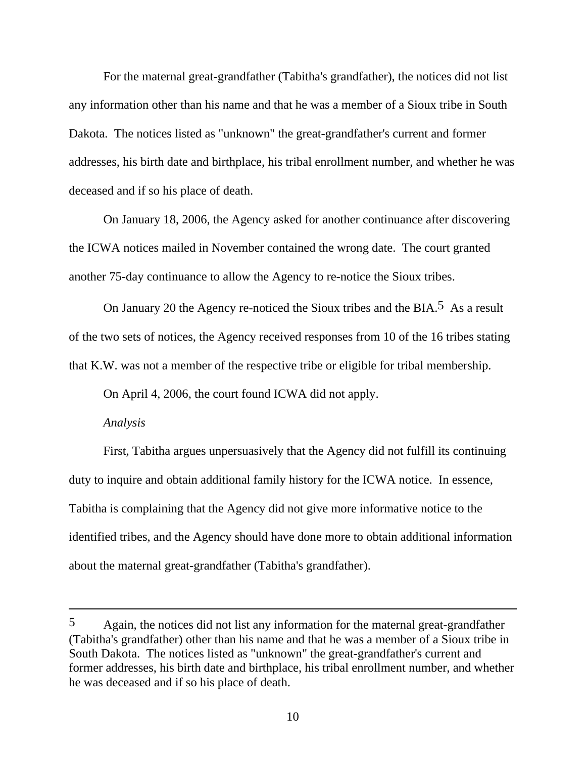For the maternal great-grandfather (Tabitha's grandfather), the notices did not list any information other than his name and that he was a member of a Sioux tribe in South Dakota. The notices listed as "unknown" the great-grandfather's current and former addresses, his birth date and birthplace, his tribal enrollment number, and whether he was deceased and if so his place of death.

 On January 18, 2006, the Agency asked for another continuance after discovering the ICWA notices mailed in November contained the wrong date. The court granted another 75-day continuance to allow the Agency to re-notice the Sioux tribes.

On January 20 the Agency re-noticed the Sioux tribes and the BIA.<sup>5</sup> As a result of the two sets of notices, the Agency received responses from 10 of the 16 tribes stating that K.W. was not a member of the respective tribe or eligible for tribal membership.

On April 4, 2006, the court found ICWA did not apply.

#### *Analysis*

 $\overline{a}$ 

 First, Tabitha argues unpersuasively that the Agency did not fulfill its continuing duty to inquire and obtain additional family history for the ICWA notice. In essence, Tabitha is complaining that the Agency did not give more informative notice to the identified tribes, and the Agency should have done more to obtain additional information about the maternal great-grandfather (Tabitha's grandfather).

<sup>5</sup> Again, the notices did not list any information for the maternal great-grandfather (Tabitha's grandfather) other than his name and that he was a member of a Sioux tribe in South Dakota. The notices listed as "unknown" the great-grandfather's current and former addresses, his birth date and birthplace, his tribal enrollment number, and whether he was deceased and if so his place of death.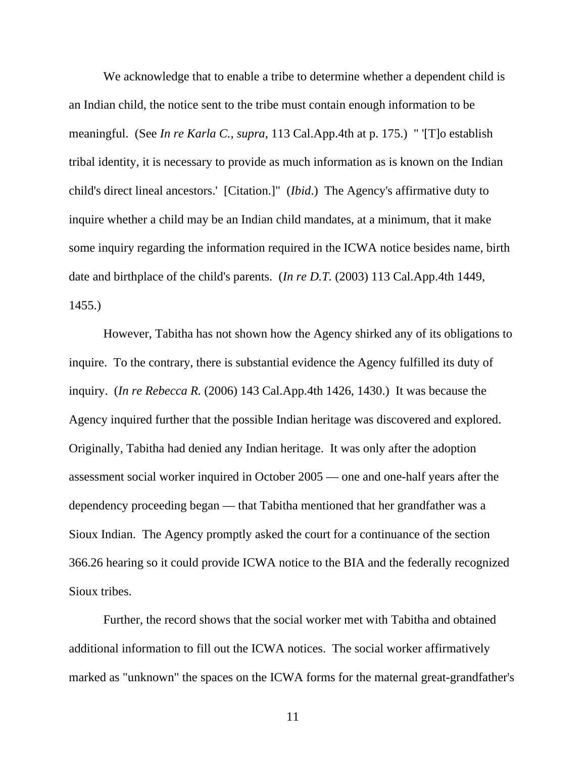We acknowledge that to enable a tribe to determine whether a dependent child is an Indian child, the notice sent to the tribe must contain enough information to be meaningful. (See *In re Karla C.*, *supra*, 113 Cal.App.4th at p. 175.) " '[T]o establish tribal identity, it is necessary to provide as much information as is known on the Indian child's direct lineal ancestors.' [Citation.]" (*Ibid*.) The Agency's affirmative duty to inquire whether a child may be an Indian child mandates, at a minimum, that it make some inquiry regarding the information required in the ICWA notice besides name, birth date and birthplace of the child's parents. (*In re D.T.* (2003) 113 Cal.App.4th 1449, 1455.)

 However, Tabitha has not shown how the Agency shirked any of its obligations to inquire. To the contrary, there is substantial evidence the Agency fulfilled its duty of inquiry. (*In re Rebecca R.* (2006) 143 Cal.App.4th 1426, 1430.) It was because the Agency inquired further that the possible Indian heritage was discovered and explored. Originally, Tabitha had denied any Indian heritage. It was only after the adoption assessment social worker inquired in October 2005 — one and one-half years after the dependency proceeding began — that Tabitha mentioned that her grandfather was a Sioux Indian. The Agency promptly asked the court for a continuance of the section 366.26 hearing so it could provide ICWA notice to the BIA and the federally recognized Sioux tribes.

 Further, the record shows that the social worker met with Tabitha and obtained additional information to fill out the ICWA notices. The social worker affirmatively marked as "unknown" the spaces on the ICWA forms for the maternal great-grandfather's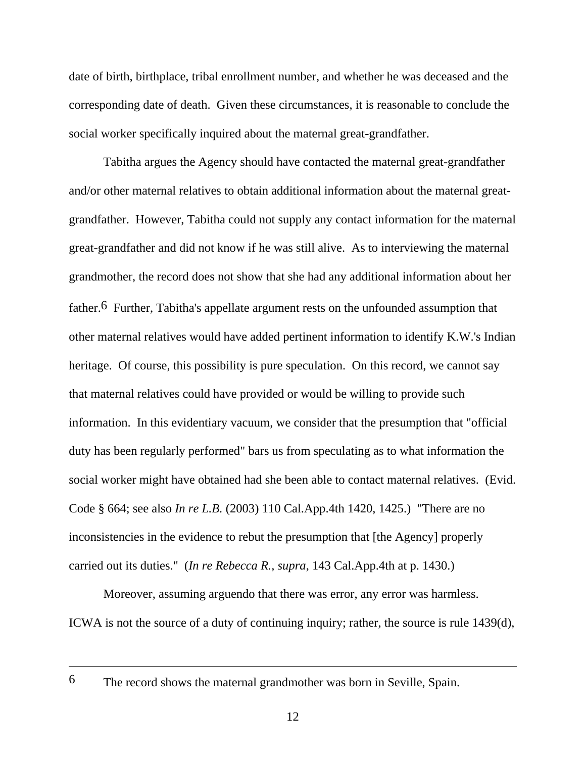date of birth, birthplace, tribal enrollment number, and whether he was deceased and the corresponding date of death. Given these circumstances, it is reasonable to conclude the social worker specifically inquired about the maternal great-grandfather.

 Tabitha argues the Agency should have contacted the maternal great-grandfather and/or other maternal relatives to obtain additional information about the maternal greatgrandfather. However, Tabitha could not supply any contact information for the maternal great-grandfather and did not know if he was still alive. As to interviewing the maternal grandmother, the record does not show that she had any additional information about her father.6 Further, Tabitha's appellate argument rests on the unfounded assumption that other maternal relatives would have added pertinent information to identify K.W.'s Indian heritage. Of course, this possibility is pure speculation. On this record, we cannot say that maternal relatives could have provided or would be willing to provide such information. In this evidentiary vacuum, we consider that the presumption that "official duty has been regularly performed" bars us from speculating as to what information the social worker might have obtained had she been able to contact maternal relatives. (Evid. Code § 664; see also *In re L.B.* (2003) 110 Cal.App.4th 1420, 1425.) "There are no inconsistencies in the evidence to rebut the presumption that [the Agency] properly carried out its duties." (*In re Rebecca R., supra*, 143 Cal.App.4th at p. 1430.)

 Moreover, assuming arguendo that there was error, any error was harmless. ICWA is not the source of a duty of continuing inquiry; rather, the source is rule 1439(d),

<sup>6</sup> The record shows the maternal grandmother was born in Seville, Spain.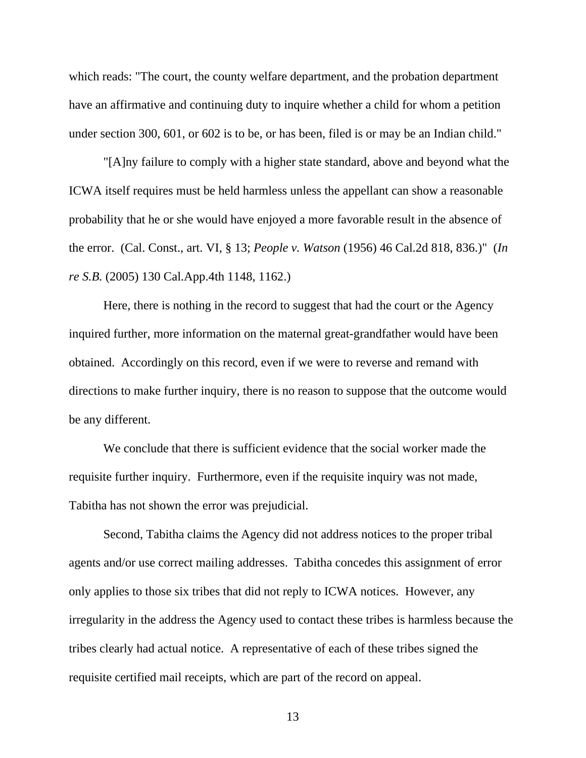which reads: "The court, the county welfare department, and the probation department have an affirmative and continuing duty to inquire whether a child for whom a petition under section 300, 601, or 602 is to be, or has been, filed is or may be an Indian child."

 "[A]ny failure to comply with a higher state standard, above and beyond what the ICWA itself requires must be held harmless unless the appellant can show a reasonable probability that he or she would have enjoyed a more favorable result in the absence of the error. (Cal. Const., art. VI, § 13; *People v. Watson* (1956) 46 Cal.2d 818, 836.)" (*In re S.B.* (2005) 130 Cal.App.4th 1148, 1162.)

 Here, there is nothing in the record to suggest that had the court or the Agency inquired further, more information on the maternal great-grandfather would have been obtained. Accordingly on this record, even if we were to reverse and remand with directions to make further inquiry, there is no reason to suppose that the outcome would be any different.

 We conclude that there is sufficient evidence that the social worker made the requisite further inquiry. Furthermore, even if the requisite inquiry was not made, Tabitha has not shown the error was prejudicial.

 Second, Tabitha claims the Agency did not address notices to the proper tribal agents and/or use correct mailing addresses. Tabitha concedes this assignment of error only applies to those six tribes that did not reply to ICWA notices. However, any irregularity in the address the Agency used to contact these tribes is harmless because the tribes clearly had actual notice. A representative of each of these tribes signed the requisite certified mail receipts, which are part of the record on appeal.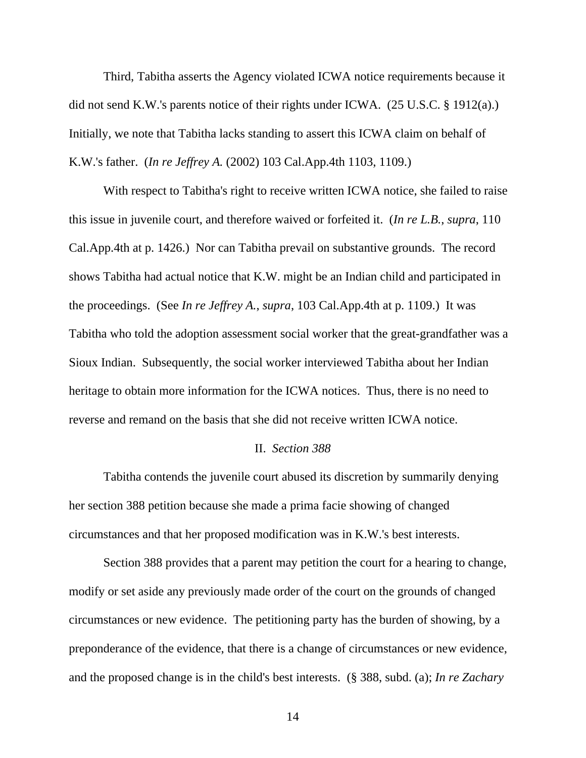Third, Tabitha asserts the Agency violated ICWA notice requirements because it did not send K.W.'s parents notice of their rights under ICWA. (25 U.S.C. § 1912(a).) Initially, we note that Tabitha lacks standing to assert this ICWA claim on behalf of K.W.'s father. (*In re Jeffrey A.* (2002) 103 Cal.App.4th 1103, 1109.)

 With respect to Tabitha's right to receive written ICWA notice, she failed to raise this issue in juvenile court, and therefore waived or forfeited it. (*In re L.B.*, *supra*, 110 Cal.App.4th at p. 1426.) Nor can Tabitha prevail on substantive grounds. The record shows Tabitha had actual notice that K.W. might be an Indian child and participated in the proceedings. (See *In re Jeffrey A.*, *supra*, 103 Cal.App.4th at p. 1109.) It was Tabitha who told the adoption assessment social worker that the great-grandfather was a Sioux Indian. Subsequently, the social worker interviewed Tabitha about her Indian heritage to obtain more information for the ICWA notices. Thus, there is no need to reverse and remand on the basis that she did not receive written ICWA notice.

#### II. *Section 388*

 Tabitha contends the juvenile court abused its discretion by summarily denying her section 388 petition because she made a prima facie showing of changed circumstances and that her proposed modification was in K.W.'s best interests.

 Section 388 provides that a parent may petition the court for a hearing to change, modify or set aside any previously made order of the court on the grounds of changed circumstances or new evidence. The petitioning party has the burden of showing, by a preponderance of the evidence, that there is a change of circumstances or new evidence, and the proposed change is in the child's best interests. (§ 388, subd. (a); *In re Zachary*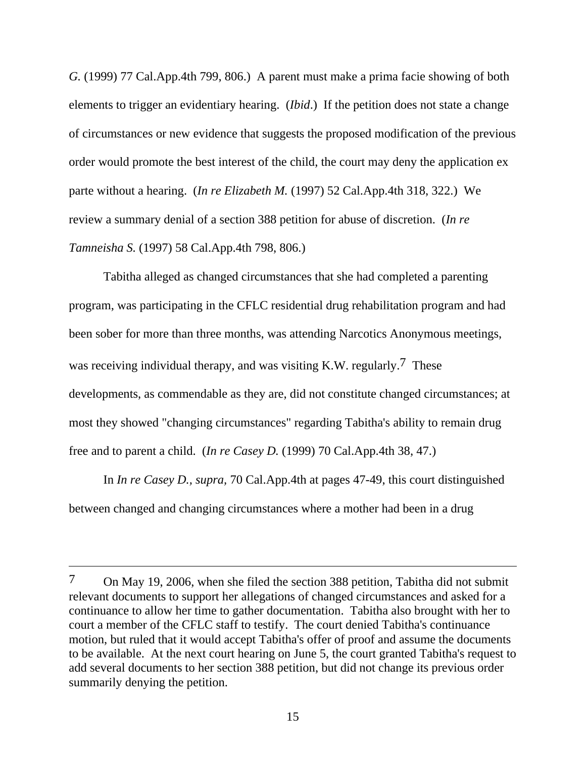*G.* (1999) 77 Cal.App.4th 799, 806.) A parent must make a prima facie showing of both elements to trigger an evidentiary hearing. (*Ibid*.) If the petition does not state a change of circumstances or new evidence that suggests the proposed modification of the previous order would promote the best interest of the child, the court may deny the application ex parte without a hearing. (*In re Elizabeth M.* (1997) 52 Cal.App.4th 318, 322.) We review a summary denial of a section 388 petition for abuse of discretion. (*In re Tamneisha S.* (1997) 58 Cal.App.4th 798, 806.)

 Tabitha alleged as changed circumstances that she had completed a parenting program, was participating in the CFLC residential drug rehabilitation program and had been sober for more than three months, was attending Narcotics Anonymous meetings, was receiving individual therapy, and was visiting K.W. regularly.<sup>7</sup> These developments, as commendable as they are, did not constitute changed circumstances; at most they showed "changing circumstances" regarding Tabitha's ability to remain drug free and to parent a child. (*In re Casey D.* (1999) 70 Cal.App.4th 38, 47.)

 In *In re Casey D., supra,* 70 Cal.App.4th at pages 47-49, this court distinguished between changed and changing circumstances where a mother had been in a drug

<sup>7</sup> On May 19, 2006, when she filed the section 388 petition, Tabitha did not submit relevant documents to support her allegations of changed circumstances and asked for a continuance to allow her time to gather documentation. Tabitha also brought with her to court a member of the CFLC staff to testify. The court denied Tabitha's continuance motion, but ruled that it would accept Tabitha's offer of proof and assume the documents to be available. At the next court hearing on June 5, the court granted Tabitha's request to add several documents to her section 388 petition, but did not change its previous order summarily denying the petition.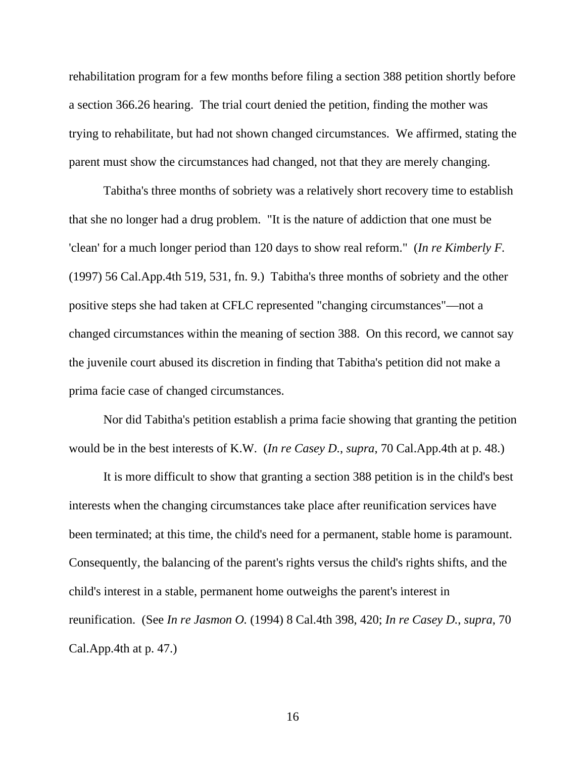rehabilitation program for a few months before filing a section 388 petition shortly before a section 366.26 hearing. The trial court denied the petition, finding the mother was trying to rehabilitate, but had not shown changed circumstances. We affirmed, stating the parent must show the circumstances had changed, not that they are merely changing.

 Tabitha's three months of sobriety was a relatively short recovery time to establish that she no longer had a drug problem. "It is the nature of addiction that one must be 'clean' for a much longer period than 120 days to show real reform." (*In re Kimberly F.* (1997) 56 Cal.App.4th 519, 531, fn. 9.) Tabitha's three months of sobriety and the other positive steps she had taken at CFLC represented "changing circumstances"—not a changed circumstances within the meaning of section 388. On this record, we cannot say the juvenile court abused its discretion in finding that Tabitha's petition did not make a prima facie case of changed circumstances.

 Nor did Tabitha's petition establish a prima facie showing that granting the petition would be in the best interests of K.W. (*In re Casey D.*, *supra*, 70 Cal.App.4th at p. 48.)

 It is more difficult to show that granting a section 388 petition is in the child's best interests when the changing circumstances take place after reunification services have been terminated; at this time, the child's need for a permanent, stable home is paramount. Consequently, the balancing of the parent's rights versus the child's rights shifts, and the child's interest in a stable, permanent home outweighs the parent's interest in reunification. (See *In re Jasmon O.* (1994) 8 Cal.4th 398, 420; *In re Casey D.*, *supra*, 70 Cal.App.4th at p. 47.)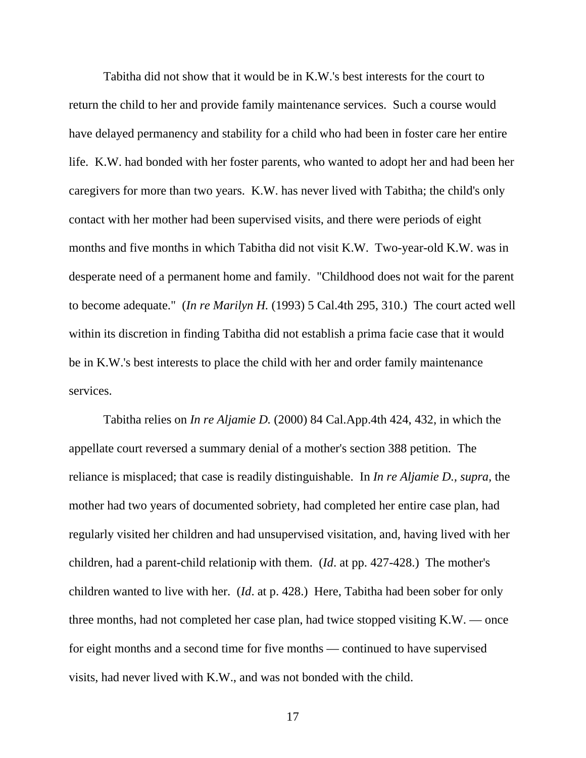Tabitha did not show that it would be in K.W.'s best interests for the court to return the child to her and provide family maintenance services. Such a course would have delayed permanency and stability for a child who had been in foster care her entire life. K.W. had bonded with her foster parents, who wanted to adopt her and had been her caregivers for more than two years. K.W. has never lived with Tabitha; the child's only contact with her mother had been supervised visits, and there were periods of eight months and five months in which Tabitha did not visit K.W. Two-year-old K.W. was in desperate need of a permanent home and family. "Childhood does not wait for the parent to become adequate." (*In re Marilyn H.* (1993) 5 Cal.4th 295, 310.) The court acted well within its discretion in finding Tabitha did not establish a prima facie case that it would be in K.W.'s best interests to place the child with her and order family maintenance services.

 Tabitha relies on *In re Aljamie D.* (2000) 84 Cal.App.4th 424, 432, in which the appellate court reversed a summary denial of a mother's section 388 petition. The reliance is misplaced; that case is readily distinguishable. In *In re Aljamie D., supra,* the mother had two years of documented sobriety, had completed her entire case plan, had regularly visited her children and had unsupervised visitation, and, having lived with her children, had a parent-child relationip with them. (*Id*. at pp. 427-428.) The mother's children wanted to live with her. (*Id*. at p. 428.) Here, Tabitha had been sober for only three months, had not completed her case plan, had twice stopped visiting K.W. — once for eight months and a second time for five months — continued to have supervised visits, had never lived with K.W., and was not bonded with the child.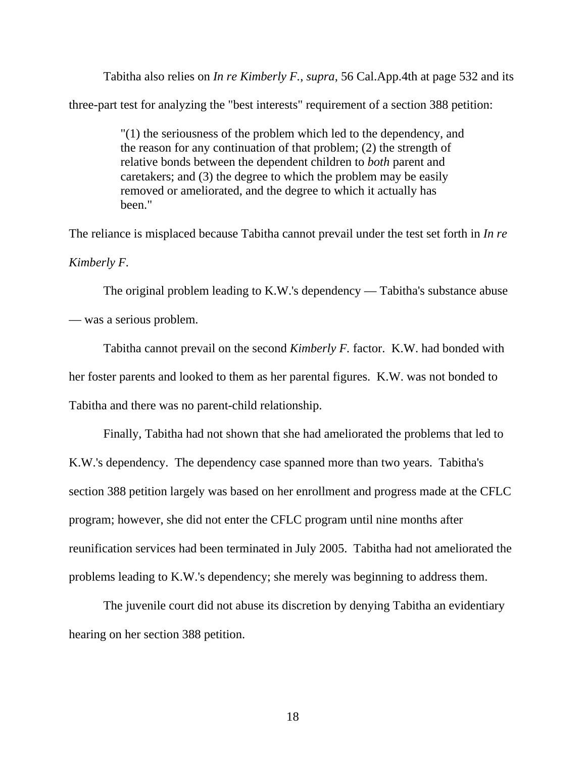Tabitha also relies on *In re Kimberly F.*, *supra*, 56 Cal.App.4th at page 532 and its

three-part test for analyzing the "best interests" requirement of a section 388 petition:

"(1) the seriousness of the problem which led to the dependency, and the reason for any continuation of that problem; (2) the strength of relative bonds between the dependent children to *both* parent and caretakers; and (3) the degree to which the problem may be easily removed or ameliorated, and the degree to which it actually has been."

The reliance is misplaced because Tabitha cannot prevail under the test set forth in *In re* 

*Kimberly F.*

 The original problem leading to K.W.'s dependency — Tabitha's substance abuse — was a serious problem.

 Tabitha cannot prevail on the second *Kimberly F.* factor. K.W. had bonded with her foster parents and looked to them as her parental figures. K.W. was not bonded to Tabitha and there was no parent-child relationship.

 Finally, Tabitha had not shown that she had ameliorated the problems that led to K.W.'s dependency. The dependency case spanned more than two years. Tabitha's section 388 petition largely was based on her enrollment and progress made at the CFLC program; however, she did not enter the CFLC program until nine months after reunification services had been terminated in July 2005. Tabitha had not ameliorated the problems leading to K.W.'s dependency; she merely was beginning to address them.

 The juvenile court did not abuse its discretion by denying Tabitha an evidentiary hearing on her section 388 petition.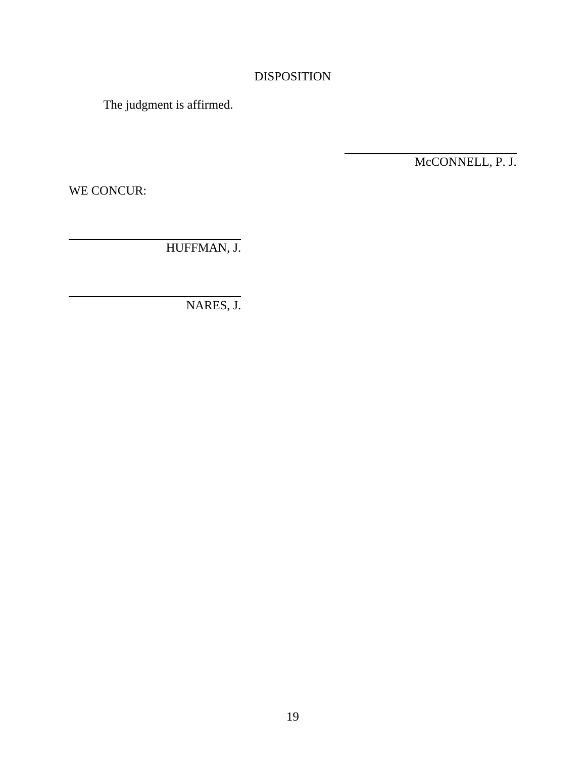# DISPOSITION

 $\overline{a}$ 

The judgment is affirmed.

McCONNELL, P. J.

WE CONCUR:

HUFFMAN, J.

NARES, J.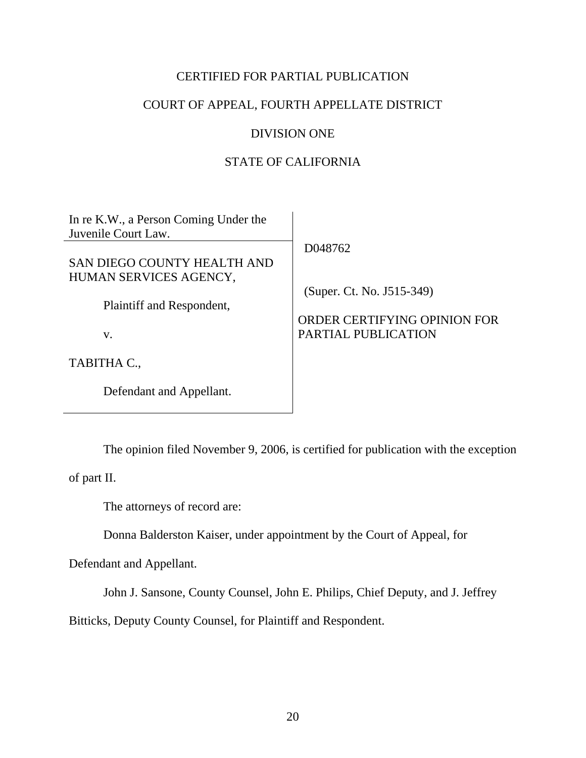# CERTIFIED FOR PARTIAL PUBLICATION

# COURT OF APPEAL, FOURTH APPELLATE DISTRICT

### DIVISION ONE

## STATE OF CALIFORNIA

| In re K.W., a Person Coming Under the<br>Juvenile Court Law. | D048762                      |
|--------------------------------------------------------------|------------------------------|
| SAN DIEGO COUNTY HEALTH AND<br>HUMAN SERVICES AGENCY,        |                              |
|                                                              | (Super. Ct. No. J515-349)    |
| Plaintiff and Respondent,                                    | ORDER CERTIFYING OPINION FOR |
| V.                                                           | PARTIAL PUBLICATION          |
| TABITHA C.,                                                  |                              |
| Defendant and Appellant.                                     |                              |

The opinion filed November 9, 2006, is certified for publication with the exception

of part II.

The attorneys of record are:

Donna Balderston Kaiser, under appointment by the Court of Appeal, for

Defendant and Appellant.

John J. Sansone, County Counsel, John E. Philips, Chief Deputy, and J. Jeffrey

Bitticks, Deputy County Counsel, for Plaintiff and Respondent.